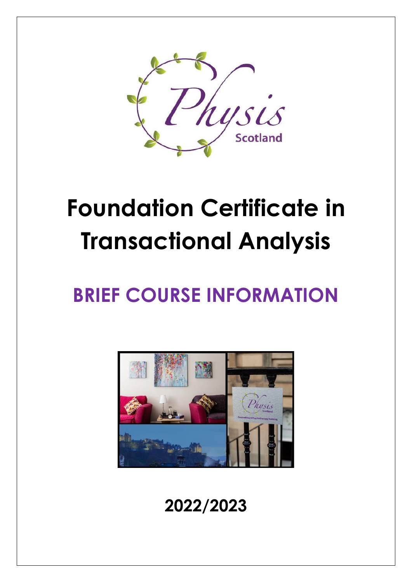

# **Foundation Certificate in Transactional Analysis**

# **BRIEF COURSE INFORMATION**



# **2022/2023**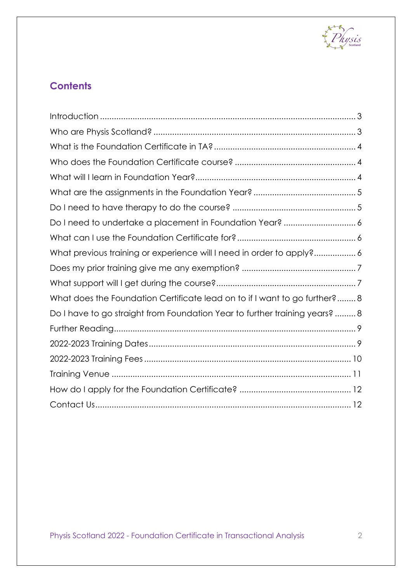

# **Contents**

| What previous training or experience will I need in order to apply? 6     |
|---------------------------------------------------------------------------|
|                                                                           |
|                                                                           |
| What does the Foundation Certificate lead on to if I want to go further?8 |
| Do I have to go straight from Foundation Year to further training years?8 |
|                                                                           |
|                                                                           |
|                                                                           |
|                                                                           |
|                                                                           |
|                                                                           |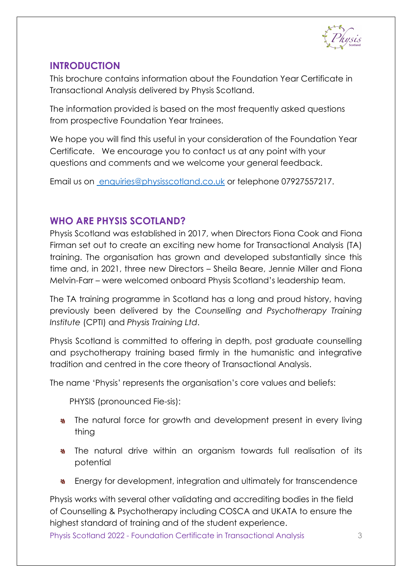

# <span id="page-2-0"></span>**INTRODUCTION**

This brochure contains information about the Foundation Year Certificate in Transactional Analysis delivered by Physis Scotland.

The information provided is based on the most frequently asked questions from prospective Foundation Year trainees.

We hope you will find this useful in your consideration of the Foundation Year Certificate. We encourage you to contact us at any point with your questions and comments and we welcome your general feedback.

Email us on enquiries@physisscotland.co.uk or telephone 07927557217.

# <span id="page-2-1"></span>**WHO ARE PHYSIS SCOTLAND?**

Physis Scotland was established in 2017, when Directors Fiona Cook and Fiona Firman set out to create an exciting new home for Transactional Analysis (TA) training. The organisation has grown and developed substantially since this time and, in 2021, three new Directors – Sheila Beare, Jennie Miller and Fiona Melvin-Farr – were welcomed onboard Physis Scotland's leadership team.

The TA training programme in Scotland has a long and proud history, having previously been delivered by the *Counselling and Psychotherapy Training Institute* (CPTI) and *Physis Training Ltd*.

Physis Scotland is committed to offering in depth, post graduate counselling and psychotherapy training based firmly in the humanistic and integrative tradition and centred in the core theory of Transactional Analysis.

The name 'Physis' represents the organisation's core values and beliefs:

PHYSIS (pronounced Fie-sis):

- **IF** The natural force for growth and development present in every living thing
- **In** The natural drive within an organism towards full realisation of its potential
- Energy for development, integration and ultimately for transcendence **A**

Physis works with several other validating and accrediting bodies in the field of Counselling & Psychotherapy including COSCA and UKATA to ensure the highest standard of training and of the student experience.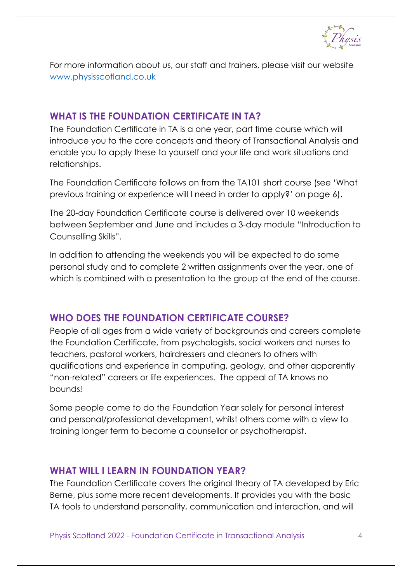

For more information about us, our staff and trainers, please visit our website [www.physisscotland.co.uk](http://www.physisscotland.co.uk/)

# <span id="page-3-0"></span>**WHAT IS THE FOUNDATION CERTIFICATE IN TA?**

The Foundation Certificate in TA is a one year, part time course which will introduce you to the core concepts and theory of Transactional Analysis and enable you to apply these to yourself and your life and work situations and relationships.

The Foundation Certificate follows on from the TA101 short course (see 'What previous training or experience will I need in order to apply?' on page 6).

The 20-day Foundation Certificate course is delivered over 10 weekends between September and June and includes a 3-day module "Introduction to Counselling Skills".

In addition to attending the weekends you will be expected to do some personal study and to complete 2 written assignments over the year, one of which is combined with a presentation to the group at the end of the course.

# <span id="page-3-1"></span>**WHO DOES THE FOUNDATION CERTIFICATE COURSE?**

People of all ages from a wide variety of backgrounds and careers complete the Foundation Certificate, from psychologists, social workers and nurses to teachers, pastoral workers, hairdressers and cleaners to others with qualifications and experience in computing, geology, and other apparently "non-related" careers or life experiences. The appeal of TA knows no bounds!

Some people come to do the Foundation Year solely for personal interest and personal/professional development, whilst others come with a view to training longer term to become a counsellor or psychotherapist.

#### <span id="page-3-2"></span>**WHAT WILL I LEARN IN FOUNDATION YEAR?**

The Foundation Certificate covers the original theory of TA developed by Eric Berne, plus some more recent developments. It provides you with the basic TA tools to understand personality, communication and interaction, and will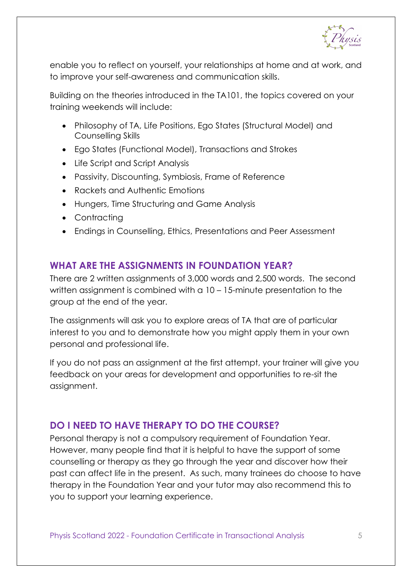

enable you to reflect on yourself, your relationships at home and at work, and to improve your self-awareness and communication skills.

Building on the theories introduced in the TA101, the topics covered on your training weekends will include:

- Philosophy of TA, Life Positions, Ego States (Structural Model) and Counselling Skills
- Ego States (Functional Model), Transactions and Strokes
- Life Script and Script Analysis
- Passivity, Discounting, Symbiosis, Frame of Reference
- Rackets and Authentic Emotions
- Hungers, Time Structuring and Game Analysis
- Contracting
- Endings in Counselling, Ethics, Presentations and Peer Assessment

# <span id="page-4-0"></span>**WHAT ARE THE ASSIGNMENTS IN FOUNDATION YEAR?**

There are 2 written assignments of 3,000 words and 2,500 words. The second written assignment is combined with a 10 – 15-minute presentation to the group at the end of the year.

The assignments will ask you to explore areas of TA that are of particular interest to you and to demonstrate how you might apply them in your own personal and professional life.

If you do not pass an assignment at the first attempt, your trainer will give you feedback on your areas for development and opportunities to re-sit the assignment.

# <span id="page-4-1"></span>**DO I NEED TO HAVE THERAPY TO DO THE COURSE?**

Personal therapy is not a compulsory requirement of Foundation Year. However, many people find that it is helpful to have the support of some counselling or therapy as they go through the year and discover how their past can affect life in the present. As such, many trainees do choose to have therapy in the Foundation Year and your tutor may also recommend this to you to support your learning experience.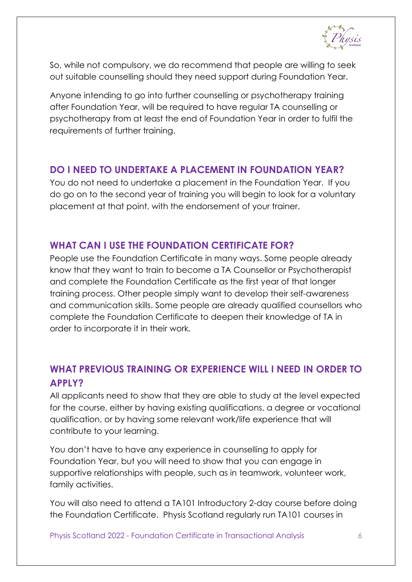

So, while not compulsory, we do recommend that people are willing to seek out suitable counselling should they need support during Foundation Year.

Anyone intending to go into further counselling or psychotherapy training after Foundation Year, will be required to have regular TA counselling or psychotherapy from at least the end of Foundation Year in order to fulfil the requirements of further training.

#### <span id="page-5-0"></span>**DO I NEED TO UNDERTAKE A PLACEMENT IN FOUNDATION YEAR?**

You do not need to undertake a placement in the Foundation Year. If you do go on to the second year of training you will begin to look for a voluntary placement at that point, with the endorsement of your trainer.

# <span id="page-5-1"></span>**WHAT CAN I USE THE FOUNDATION CERTIFICATE FOR?**

People use the Foundation Certificate in many ways. Some people already know that they want to train to become a TA Counsellor or Psychotherapist and complete the Foundation Certificate as the first year of that longer training process. Other people simply want to develop their self-awareness and communication skills. Some people are already qualified counsellors who complete the Foundation Certificate to deepen their knowledge of TA in order to incorporate it in their work.

# <span id="page-5-2"></span>**WHAT PREVIOUS TRAINING OR EXPERIENCE WILL I NEED IN ORDER TO APPLY?**

All applicants need to show that they are able to study at the level expected for the course, either by having existing qualifications, a degree or vocational qualification, or by having some relevant work/life experience that will contribute to your learning.

You don't have to have any experience in counselling to apply for Foundation Year, but you will need to show that you can engage in supportive relationships with people, such as in teamwork, volunteer work, family activities.

You will also need to attend a TA101 Introductory 2-day course before doing the Foundation Certificate. Physis Scotland regularly run TA101 courses in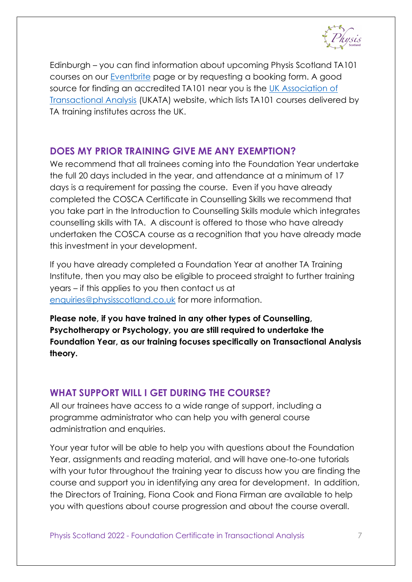

Edinburgh – you can find information about upcoming Physis Scotland TA101 courses on our [Eventbrite](http://physistraining.eventbrite.co.uk/) page or by requesting a booking form. A good source for finding an accredited TA101 near you is the [UK Association of](http://www.uktransactionalanalysis.co.uk/)  [Transactional Analysis](http://www.uktransactionalanalysis.co.uk/) (UKATA) website, which lists TA101 courses delivered by TA training institutes across the UK.

#### <span id="page-6-0"></span>**DOES MY PRIOR TRAINING GIVE ME ANY EXEMPTION?**

We recommend that all trainees coming into the Foundation Year undertake the full 20 days included in the year, and attendance at a minimum of 17 days is a requirement for passing the course. Even if you have already completed the COSCA Certificate in Counselling Skills we recommend that you take part in the Introduction to Counselling Skills module which integrates counselling skills with TA. A discount is offered to those who have already undertaken the COSCA course as a recognition that you have already made this investment in your development.

If you have already completed a Foundation Year at another TA Training Institute, then you may also be eligible to proceed straight to further training years – if this applies to you then contact us at [enquiries@physisscotland.co.uk](mailto:enquiries@physisscotland.co.uk) for more information.

**Please note, if you have trained in any other types of Counselling, Psychotherapy or Psychology, you are still required to undertake the Foundation Year, as our training focuses specifically on Transactional Analysis theory.** 

# <span id="page-6-1"></span>**WHAT SUPPORT WILL I GET DURING THE COURSE?**

All our trainees have access to a wide range of support, including a programme administrator who can help you with general course administration and enquiries.

Your year tutor will be able to help you with questions about the Foundation Year, assignments and reading material, and will have one-to-one tutorials with your tutor throughout the training year to discuss how you are finding the course and support you in identifying any area for development. In addition, the Directors of Training, Fiona Cook and Fiona Firman are available to help you with questions about course progression and about the course overall.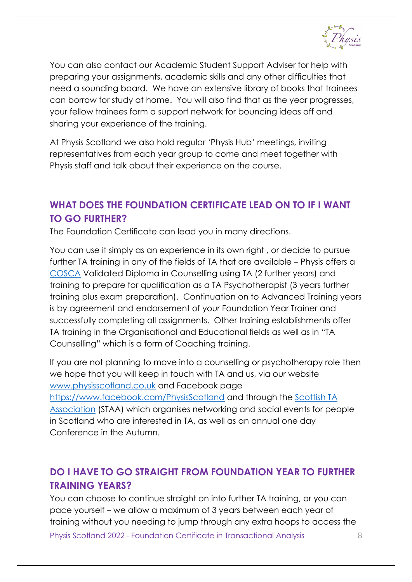

You can also contact our Academic Student Support Adviser for help with preparing your assignments, academic skills and any other difficulties that need a sounding board. We have an extensive library of books that trainees can borrow for study at home. You will also find that as the year progresses, your fellow trainees form a support network for bouncing ideas off and sharing your experience of the training.

At Physis Scotland we also hold regular 'Physis Hub' meetings, inviting representatives from each year group to come and meet together with Physis staff and talk about their experience on the course.

# <span id="page-7-0"></span>**WHAT DOES THE FOUNDATION CERTIFICATE LEAD ON TO IF I WANT TO GO FURTHER?**

The Foundation Certificate can lead you in many directions.

You can use it simply as an experience in its own right , or decide to pursue further TA training in any of the fields of TA that are available – Physis offers a [COSCA](http://www.cosca.org.uk/) Validated Diploma in Counselling using TA (2 further years) and training to prepare for qualification as a TA Psychotherapist (3 years further training plus exam preparation). Continuation on to Advanced Training years is by agreement and endorsement of your Foundation Year Trainer and successfully completing all assignments. Other training establishments offer TA training in the Organisational and Educational fields as well as in "TA Counselling" which is a form of Coaching training.

If you are not planning to move into a counselling or psychotherapy role then we hope that you will keep in touch with TA and us, via our website www.physisscotland.co.uk and Facebook page <https://www.facebook.com/PhysisScotland> and through the [Scottish TA](http://www.scottishta.org.uk/)  [Association](http://www.scottishta.org.uk/) (STAA) which organises networking and social events for people in Scotland who are interested in TA, as well as an annual one day Conference in the Autumn.

# <span id="page-7-1"></span>**DO I HAVE TO GO STRAIGHT FROM FOUNDATION YEAR TO FURTHER TRAINING YEARS?**

Physis Scotland 2022 - Foundation Certificate in Transactional Analysis 8 You can choose to continue straight on into further TA training, or you can pace yourself – we allow a maximum of 3 years between each year of training without you needing to jump through any extra hoops to access the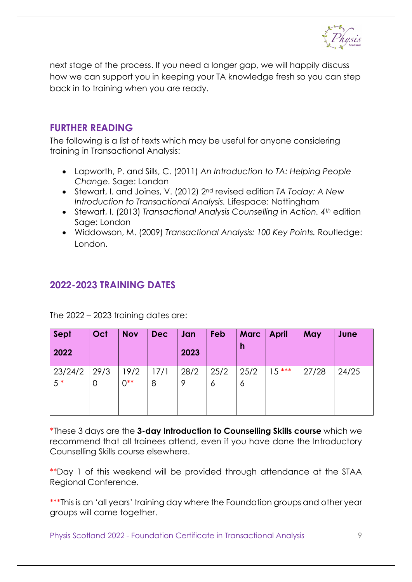

next stage of the process. If you need a longer gap, we will happily discuss how we can support you in keeping your TA knowledge fresh so you can step back in to training when you are ready.

#### <span id="page-8-0"></span>**FURTHER READING**

The following is a list of texts which may be useful for anyone considering training in Transactional Analysis:

- Lapworth, P. and Sills, C. (2011) *An Introduction to TA: Helping People Change.* Sage: London
- Stewart, I. and Joines, V. (2012) 2nd revised edition *TA Today: A New Introduction to Transactional Analysis.* Lifespace: Nottingham
- Stewart, I. (2013) *Transactional Analysis Counselling in Action. 4th* edition Sage: London
- Widdowson, M. (2009) *Transactional Analysis: 100 Key Points.* Routledge: London.

# <span id="page-8-1"></span>**2022-2023 TRAINING DATES**

| Sept<br>2022    | Oct       | <b>Nov</b>    | <b>Dec</b> | Jan<br>2023 | <b>Feb</b> | <b>Marc</b><br>h | <b>April</b> | May   | June  |
|-----------------|-----------|---------------|------------|-------------|------------|------------------|--------------|-------|-------|
| 23/24/2<br>$5*$ | 29/3<br>0 | 19/2<br>$0**$ | 17/1<br>8  | 28/2<br>9   | 25/2<br>6  | 25/2<br>6        | $15***$      | 27/28 | 24/25 |

The 2022 – 2023 training dates are:

\*These 3 days are the **3-day Introduction to Counselling Skills course** which we recommend that all trainees attend, even if you have done the Introductory Counselling Skills course elsewhere.

\*\*Day 1 of this weekend will be provided through attendance at the STAA Regional Conference.

\*\*\*This is an 'all years' training day where the Foundation groups and other year groups will come together.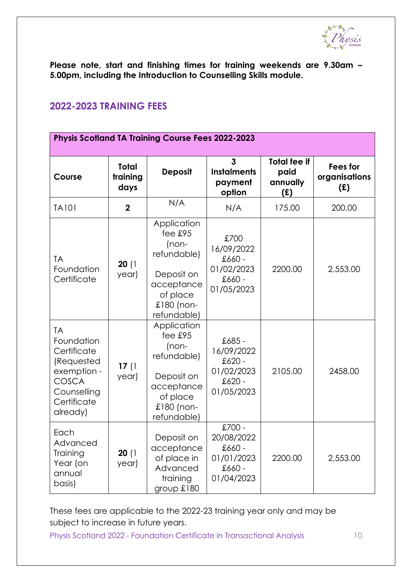

**Please note, start and finishing times for training weekends are 9.30am – 5.00pm, including the Introduction to Counselling Skills module.**

#### <span id="page-9-0"></span>**2022-2023 TRAINING FEES**

| <b>Physis Scotland TA Training Course Fees 2022-2023</b>                                                               |                  |                                                                                                                          |                                                                      |                                                |                                           |  |  |  |  |  |
|------------------------------------------------------------------------------------------------------------------------|------------------|--------------------------------------------------------------------------------------------------------------------------|----------------------------------------------------------------------|------------------------------------------------|-------------------------------------------|--|--|--|--|--|
| Total<br>training<br>Course<br>days                                                                                    |                  | <b>Deposit</b>                                                                                                           | 3<br><b>Instalments</b><br>payment<br>option                         | <b>Total fee if</b><br>paid<br>annually<br>(E) | Fees for<br>organisations<br>$f(\hat{t})$ |  |  |  |  |  |
| <b>TA101</b>                                                                                                           | $\boldsymbol{2}$ | N/A                                                                                                                      | N/A                                                                  | 175.00                                         | 200.00                                    |  |  |  |  |  |
| <b>TA</b><br>Foundation<br>Certificate                                                                                 | 20(1)<br>year)   | Application<br>fee $£95$<br>$(non-$<br>refundable)<br>Deposit on<br>acceptance<br>of place<br>£180 (non-<br>refundable)  | £700<br>16/09/2022<br>£660-<br>01/02/2023<br>£660-<br>01/05/2023     | 2200.00                                        | 2,553.00                                  |  |  |  |  |  |
| <b>TA</b><br>Foundation<br>Certificate<br>(Requested<br>exemption -<br>COSCA<br>Counselling<br>Certificate<br>already) | 17(1)<br>year)   | Application<br>fee $£95$<br>$($ non-<br>refundable)<br>Deposit on<br>acceptance<br>of place<br>£180 (non-<br>refundable) | £685 -<br>16/09/2022<br>£620 -<br>01/02/2023<br>£620 -<br>01/05/2023 | 2105.00                                        | 2458.00                                   |  |  |  |  |  |
| Each<br>Advanced<br>Training<br>Year (on<br>annual<br>basis)                                                           | 20(1)<br>year)   | Deposit on<br>acceptance<br>of place in<br>Advanced<br>training<br>group £180                                            | £700 -<br>20/08/2022<br>£660 -<br>01/01/2023<br>£660-<br>01/04/2023  | 2200.00                                        | 2,553.00                                  |  |  |  |  |  |

These fees are applicable to the 2022-23 training year only and may be subject to increase in future years.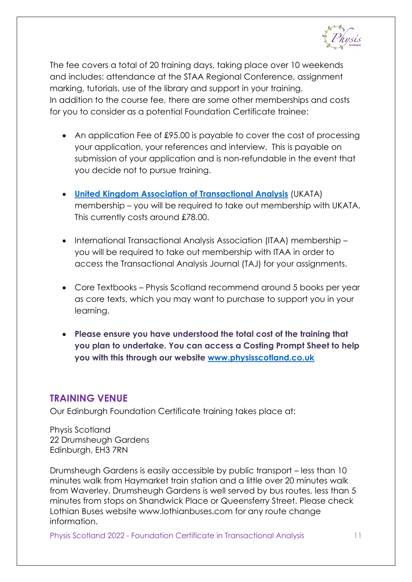

The fee covers a total of 20 training days, taking place over 10 weekends and includes: attendance at the STAA Regional Conference, assignment marking, tutorials, use of the library and support in your training. In addition to the course fee, there are some other memberships and costs for you to consider as a potential Foundation Certificate trainee:

- An application Fee of £95.00 is payable to cover the cost of processing your application, your references and interview. This is payable on submission of your application and is non-refundable in the event that you decide not to pursue training.
- **[United Kingdom Association of Transactional Analysis](http://www.uktransactionalanalysis.co.uk/)** (UKATA) membership – you will be required to take out membership with UKATA. This currently costs around £78.00.
- International Transactional Analysis Association (ITAA) membership you will be required to take out membership with ITAA in order to access the Transactional Analysis Journal (TAJ) for your assignments.
- Core Textbooks Physis Scotland recommend around 5 books per year as core texts, which you may want to purchase to support you in your learning.
- **Please ensure you have understood the total cost of the training that you plan to undertake. You can access a Costing Prompt Sheet to help you with this through our website [www.physisscotland.co.uk](http://www.physisscotland.co.uk/)**

#### <span id="page-10-0"></span>**TRAINING VENUE**

Our Edinburgh Foundation Certificate training takes place at:

Physis Scotland 22 Drumsheugh Gardens Edinburgh, EH3 7RN

Drumsheugh Gardens is easily accessible by public transport – less than 10 minutes walk from Haymarket train station and a little over 20 minutes walk from Waverley. Drumsheugh Gardens is well served by bus routes, less than 5 minutes from stops on Shandwick Place or Queensferry Street. Please check Lothian Buses website www.lothianbuses.com for any route change information.